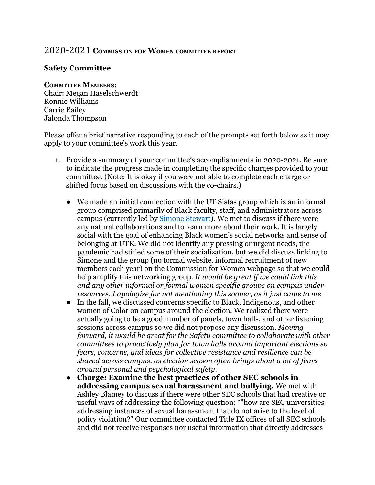## 2020-2021 **COMMISSION FOR WOMEN COMMITTEE REPORT**

## **Safety Committee**

## **COMMITTEE MEMBERS:**

Chair: Megan Haselschwerdt Ronnie Williams Carrie Bailey Jalonda Thompson

Please offer a brief narrative responding to each of the prompts set forth below as it may apply to your committee's work this year.

- 1. Provide a summary of your committee's accomplishments in 2020-2021. Be sure to indicate the progress made in completing the specific charges provided to your committee. (Note: It is okay if you were not able to complete each charge or shifted focus based on discussions with the co-chairs.)
	- We made an initial connection with the UT Sistas group which is an informal group comprised primarily of Black faculty, staff, and administrators across campus (currently led by **[Simone Stewart](https://career.utk.edu/people/simone-stewart/)**). We met to discuss if there were any natural collaborations and to learn more about their work. It is largely social with the goal of enhancing Black women's social networks and sense of belonging at UTK. We did not identify any pressing or urgent needs, the pandemic had stifled some of their socialization, but we did discuss linking to Simone and the group (no formal website, informal recruitment of new members each year) on the Commission for Women webpage so that we could help amplify this networking group. *It would be great if we could link this and any other informal or formal women specific groups on campus under resources. I apologize for not mentioning this sooner, as it just came to me.*
	- In the fall, we discussed concerns specific to Black, Indigenous, and other women of Color on campus around the election. We realized there were actually going to be a good number of panels, town halls, and other listening sessions across campus so we did not propose any discussion. *Moving forward, it would be great for the Safety committee to collaborate with other committees to proactively plan for town halls around important elections so fears, concerns, and ideas for collective resistance and resilience can be shared across campus, as election season often brings about a lot of fears around personal and psychological safety.*
	- **Charge: Examine the best practices of other SEC schools in addressing campus sexual harassment and bullying.** We met with Ashley Blamey to discuss if there were other SEC schools that had creative or useful ways of addressing the following question: ""how are SEC universities addressing instances of sexual harassment that do not arise to the level of policy violation?" Our committee contacted Title IX offices of all SEC schools and did not receive responses nor useful information that directly addresses